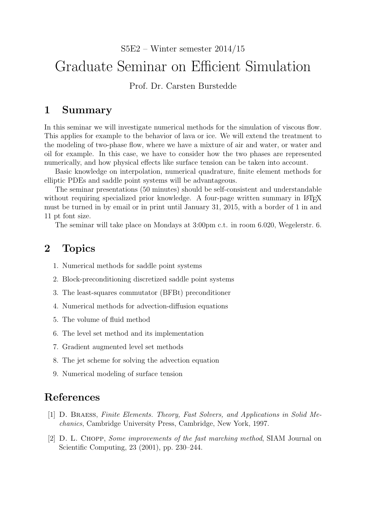S5E2 – Winter semester 2014/15

## Graduate Seminar on Efficient Simulation

Prof. Dr. Carsten Burstedde

## 1 Summary

In this seminar we will investigate numerical methods for the simulation of viscous flow. This applies for example to the behavior of lava or ice. We will extend the treatment to the modeling of two-phase flow, where we have a mixture of air and water, or water and oil for example. In this case, we have to consider how the two phases are represented numerically, and how physical effects like surface tension can be taken into account.

Basic knowledge on interpolation, numerical quadrature, finite element methods for elliptic PDEs and saddle point systems will be advantageous.

The seminar presentations (50 minutes) should be self-consistent and understandable without requiring specialized prior knowledge. A four-page written summary in LATEX must be turned in by email or in print until January 31, 2015, with a border of 1 in and 11 pt font size.

The seminar will take place on Mondays at 3:00pm c.t. in room 6.020, Wegelerstr. 6.

## 2 Topics

- 1. Numerical methods for saddle point systems
- 2. Block-preconditioning discretized saddle point systems
- 3. The least-squares commutator (BFBt) preconditioner
- 4. Numerical methods for advection-diffusion equations
- 5. The volume of fluid method
- 6. The level set method and its implementation
- 7. Gradient augmented level set methods
- 8. The jet scheme for solving the advection equation
- 9. Numerical modeling of surface tension

## References

- [1] D. Braess, Finite Elements. Theory, Fast Solvers, and Applications in Solid Mechanics, Cambridge University Press, Cambridge, New York, 1997.
- [2] D. L. Chopp, Some improvements of the fast marching method, SIAM Journal on Scientific Computing, 23 (2001), pp. 230–244.